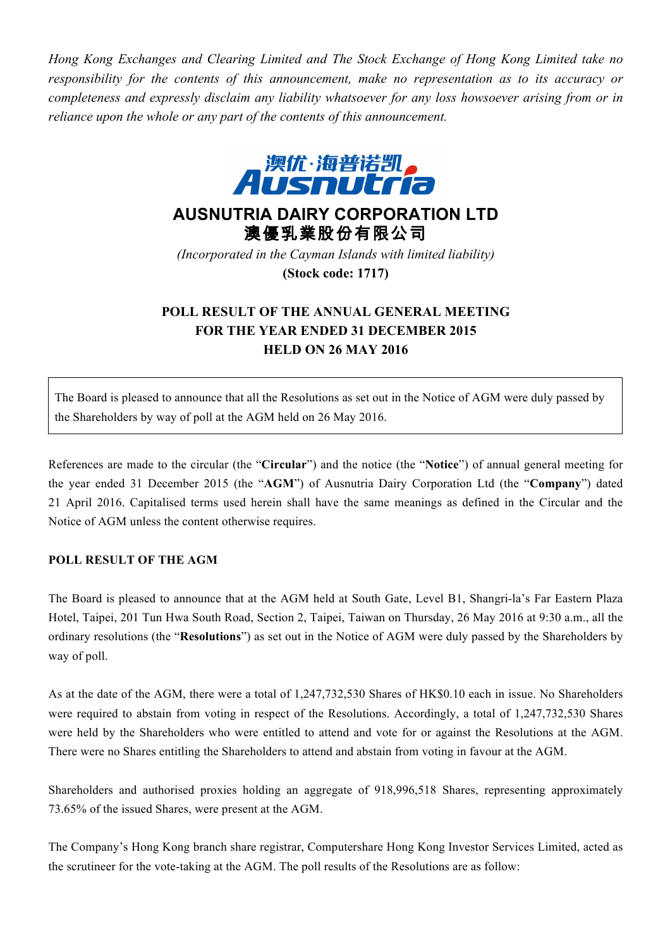*Hong Kong Exchanges and Clearing Limited and The Stock Exchange of Hong Kong Limited take no responsibility for the contents of this announcement, make no representation as to its accuracy or completeness and expressly disclaim any liability whatsoever for any loss howsoever arising from or in reliance upon the whole or any part of the contents of this announcement.*



## **AUSNUTRIA DAIRY CORPORATION LTD** 澳優乳業股份有限公司

*(Incorporated in the Cayman Islands with limited liability)* **(Stock code: 1717)**

## **POLL RESULT OF THE ANNUAL GENERAL MEETING FOR THE YEAR ENDED 31 DECEMBER 2015 HELD ON 26 MAY 2016**

The Board is pleased to announce that all the Resolutions as set out in the Notice of AGM were duly passed by the Shareholders by way of poll at the AGM held on 26 May 2016.

References are made to the circular (the "**Circular**") and the notice (the "**Notice**") of annual general meeting for the year ended 31 December 2015 (the "**AGM**") of Ausnutria Dairy Corporation Ltd (the "**Company**") dated 21 April 2016. Capitalised terms used herein shall have the same meanings as defined in the Circular and the Notice of AGM unless the content otherwise requires.

## **POLL RESULT OF THE AGM**

The Board is pleased to announce that at the AGM held at South Gate, Level B1, Shangri-la's Far Eastern Plaza Hotel, Taipei, 201 Tun Hwa South Road, Section 2, Taipei, Taiwan on Thursday, 26 May 2016 at 9:30 a.m., all the ordinary resolutions (the "**Resolutions**") as set out in the Notice of AGM were duly passed by the Shareholders by way of poll.

As at the date of the AGM, there were a total of 1,247,732,530 Shares of HK\$0.10 each in issue. No Shareholders were required to abstain from voting in respect of the Resolutions. Accordingly, a total of 1,247,732,530 Shares were held by the Shareholders who were entitled to attend and vote for or against the Resolutions at the AGM. There were no Shares entitling the Shareholders to attend and abstain from voting in favour at the AGM.

Shareholders and authorised proxies holding an aggregate of 918,996,518 Shares, representing approximately 73.65% of the issued Shares, were present at the AGM.

The Company's Hong Kong branch share registrar, Computershare Hong Kong Investor Services Limited, acted as the scrutineer for the vote-taking at the AGM. The poll results of the Resolutions are as follow: